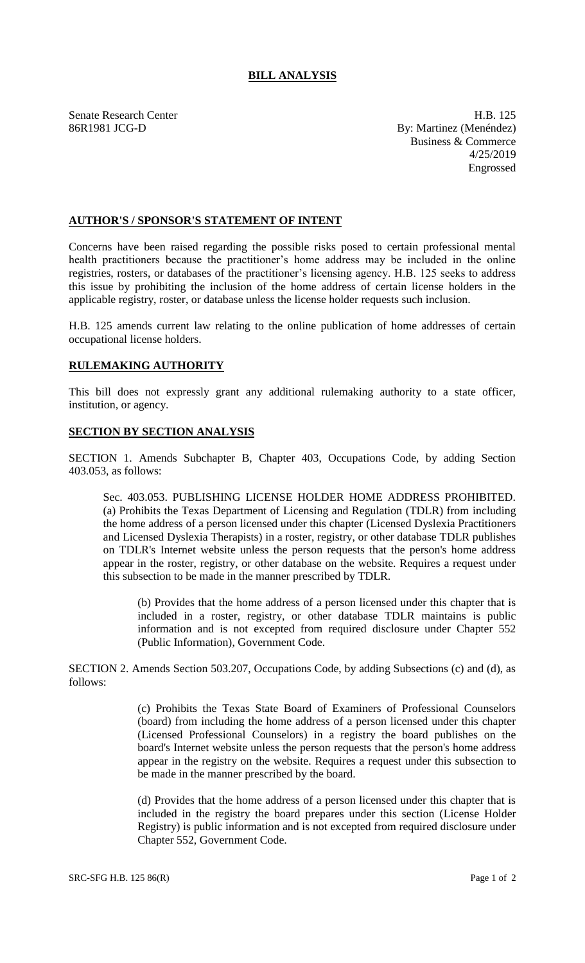## **BILL ANALYSIS**

Senate Research Center **H.B.** 125 86R1981 JCG-D By: Martinez (Menéndez) Business & Commerce 4/25/2019 Engrossed

## **AUTHOR'S / SPONSOR'S STATEMENT OF INTENT**

Concerns have been raised regarding the possible risks posed to certain professional mental health practitioners because the practitioner's home address may be included in the online registries, rosters, or databases of the practitioner's licensing agency. H.B. 125 seeks to address this issue by prohibiting the inclusion of the home address of certain license holders in the applicable registry, roster, or database unless the license holder requests such inclusion.

H.B. 125 amends current law relating to the online publication of home addresses of certain occupational license holders.

## **RULEMAKING AUTHORITY**

This bill does not expressly grant any additional rulemaking authority to a state officer, institution, or agency.

## **SECTION BY SECTION ANALYSIS**

SECTION 1. Amends Subchapter B, Chapter 403, Occupations Code, by adding Section 403.053, as follows:

Sec. 403.053. PUBLISHING LICENSE HOLDER HOME ADDRESS PROHIBITED. (a) Prohibits the Texas Department of Licensing and Regulation (TDLR) from including the home address of a person licensed under this chapter (Licensed Dyslexia Practitioners and Licensed Dyslexia Therapists) in a roster, registry, or other database TDLR publishes on TDLR's Internet website unless the person requests that the person's home address appear in the roster, registry, or other database on the website. Requires a request under this subsection to be made in the manner prescribed by TDLR.

(b) Provides that the home address of a person licensed under this chapter that is included in a roster, registry, or other database TDLR maintains is public information and is not excepted from required disclosure under Chapter 552 (Public Information), Government Code.

SECTION 2. Amends Section 503.207, Occupations Code, by adding Subsections (c) and (d), as follows:

> (c) Prohibits the Texas State Board of Examiners of Professional Counselors (board) from including the home address of a person licensed under this chapter (Licensed Professional Counselors) in a registry the board publishes on the board's Internet website unless the person requests that the person's home address appear in the registry on the website. Requires a request under this subsection to be made in the manner prescribed by the board.

> (d) Provides that the home address of a person licensed under this chapter that is included in the registry the board prepares under this section (License Holder Registry) is public information and is not excepted from required disclosure under Chapter 552, Government Code.